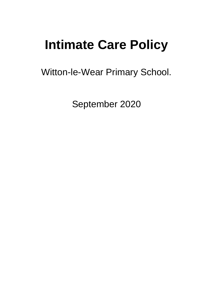# **Intimate Care Policy**

Witton-le-Wear Primary School.

September 2020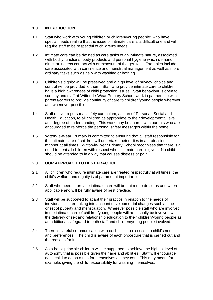### **1.0 INTRODUCTION**

- 1.1 Staff who work with young children or children/young people\* who have special needs realise that the issue of intimate care is a difficult one and will require staff to be respectful of children's needs.
- 1.2 Intimate care can be defined as care tasks of an intimate nature, associated with bodily functions, body products and personal hygiene which demand direct or indirect contact with or exposure of the genitals. Examples include care associated with continence and menstrual management as well as more ordinary tasks such as help with washing or bathing.
- 1.3 Children's dignity will be preserved and a high level of privacy, choice and control will be provided to them. Staff who provide intimate care to children have a high awareness of child protection issues. Staff behaviour is open to scrutiny and staff at Witton-le-Wear Primary School work in partnership with parents/carers to provide continuity of care to children/young people wherever and whenever possible.
- 1.4 Staff deliver a personal safety curriculum, as part of Personal, Social and Health Education, to all children as appropriate to their developmental level and degree of understanding. This work may be shared with parents who are encouraged to reinforce the personal safety messages within the home.
- 1.5 Witton-le-Wear Primary is committed to ensuring that all staff responsible for the intimate care of children will undertake their duties in a professional manner at all times. Witton-le-Wear Primary School recognises that there is a need to treat all children with respect when intimate care is given. No child should be attended to in a way that causes distress or pain.

### **2.0 OUR APPROACH TO BEST PRACTICE**

- 2.1 All children who require intimate care are treated respectfully at all times; the child's welfare and dignity is of paramount importance.
- 2.2 Staff who need to provide intimate care will be trained to do so as and where applicable and will be fully aware of best practice.
- 2.3 Staff will be supported to adapt their practice in relation to the needs of individual children taking into account developmental changes such as the onset of puberty and menstruation. Wherever possible staff who are involved in the intimate care of children/young people will not usually be involved with the delivery of sex and relationship education to their children/young people as an additional safeguard to both staff and children/young people involved.
- 2.4 There is careful communication with each child to discuss the child's needs and preferences. The child is aware of each procedure that is carried out and the reasons for it.
- 2.5 As a basic principle children will be supported to achieve the highest level of autonomy that is possible given their age and abilities. Staff will encourage each child to do as much for themselves as they can. This may mean, for example, giving the child responsibility for washing themselves.